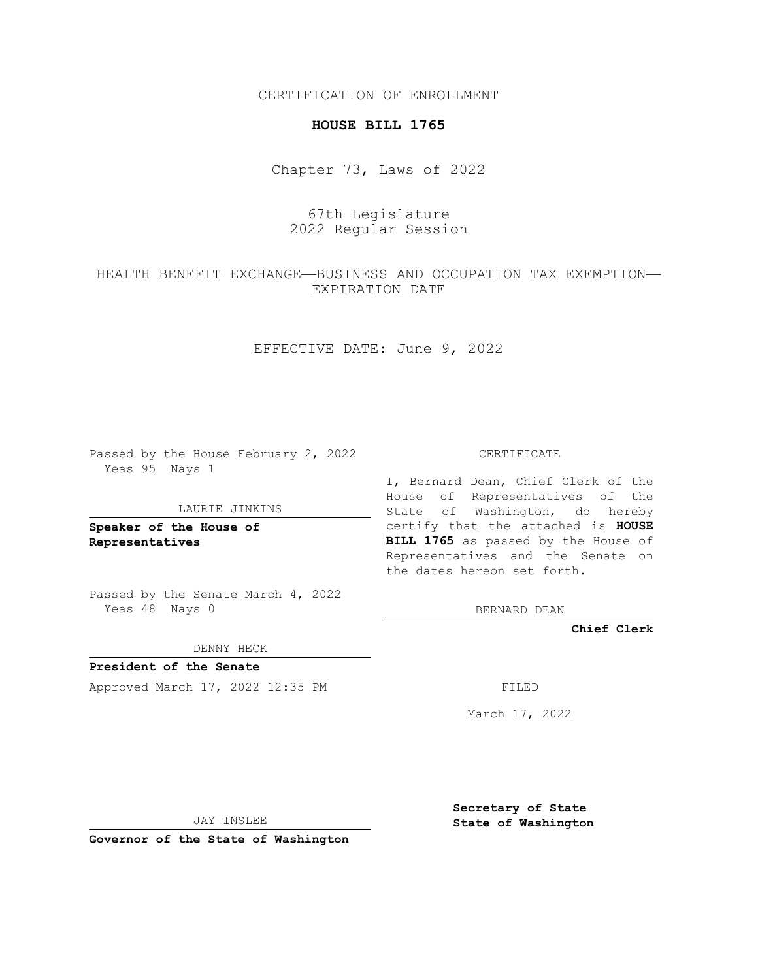CERTIFICATION OF ENROLLMENT

### **HOUSE BILL 1765**

Chapter 73, Laws of 2022

# 67th Legislature 2022 Regular Session

## HEALTH BENEFIT EXCHANGE—BUSINESS AND OCCUPATION TAX EXEMPTION— EXPIRATION DATE

EFFECTIVE DATE: June 9, 2022

Passed by the House February 2, 2022 Yeas 95 Nays 1

#### LAURIE JINKINS

**Speaker of the House of Representatives**

Passed by the Senate March 4, 2022 Yeas 48 Nays 0

DENNY HECK

**President of the Senate** Approved March 17, 2022 12:35 PM FILED

CERTIFICATE

I, Bernard Dean, Chief Clerk of the House of Representatives of the State of Washington, do hereby certify that the attached is **HOUSE BILL 1765** as passed by the House of Representatives and the Senate on the dates hereon set forth.

BERNARD DEAN

**Chief Clerk**

March 17, 2022

JAY INSLEE

**Governor of the State of Washington**

**Secretary of State State of Washington**